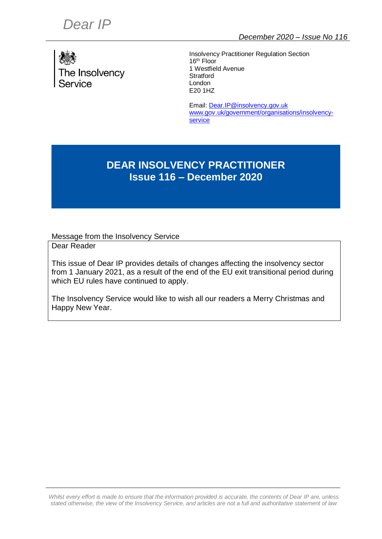

Insolvency Practitioner Regulation Section 16<sup>th</sup> Floor 1 Westfield Avenue **Stratford** London E20 1HZ

Email[: Dear.IP@insolvency.gov.uk](mailto:Dear.IP@insolvency.gov.uk) [www.gov.uk/government/organisations/insolvency](http://www.gov.uk/government/organisations/insolvency-service)[service](http://www.gov.uk/government/organisations/insolvency-service)

# **DEAR INSOLVENCY PRACTITIONER Issue 116 – December 2020**

Message from the Insolvency Service

Dear Reader

This issue of Dear IP provides details of changes affecting the insolvency sector from 1 January 2021, as a result of the end of the EU exit transitional period during which EU rules have continued to apply.

The Insolvency Service would like to wish all our readers a Merry Christmas and Happy New Year.

*Whilst* every effort is made to ensure that the information provided is accurate, the contents of Dear IP are, unless *stated otherwise, the view of the Insolvency Service, and articles are not a full and authoritative statement of law*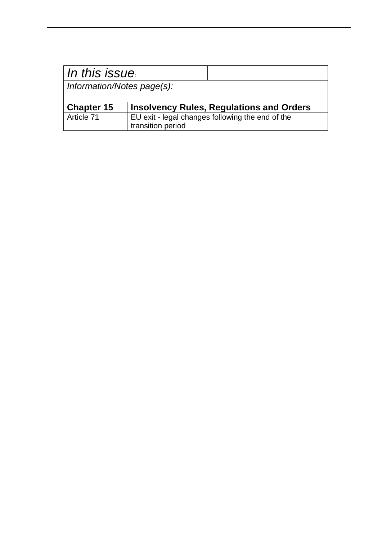| In this issue              |                                                                       |                                                 |
|----------------------------|-----------------------------------------------------------------------|-------------------------------------------------|
| Information/Notes page(s): |                                                                       |                                                 |
|                            |                                                                       |                                                 |
| <b>Chapter 15</b>          |                                                                       | <b>Insolvency Rules, Regulations and Orders</b> |
| Article 71                 | EU exit - legal changes following the end of the<br>transition period |                                                 |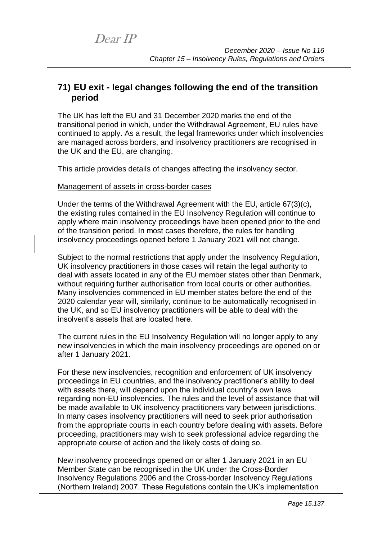## **71) EU exit - legal changes following the end of the transition period**

The UK has left the EU and 31 December 2020 marks the end of the transitional period in which, under the Withdrawal Agreement, EU rules have continued to apply. As a result, the legal frameworks under which insolvencies are managed across borders, and insolvency practitioners are recognised in the UK and the EU, are changing.

This article provides details of changes affecting the insolvency sector.

#### Management of assets in cross-border cases

Under the terms of the Withdrawal Agreement with the EU, article 67(3)(c), the existing rules contained in the EU Insolvency Regulation will continue to apply where main insolvency proceedings have been opened prior to the end of the transition period. In most cases therefore, the rules for handling insolvency proceedings opened before 1 January 2021 will not change.

Subject to the normal restrictions that apply under the Insolvency Regulation, UK insolvency practitioners in those cases will retain the legal authority to deal with assets located in any of the EU member states other than Denmark, without requiring further authorisation from local courts or other authorities. Many insolvencies commenced in EU member states before the end of the 2020 calendar year will, similarly, continue to be automatically recognised in the UK, and so EU insolvency practitioners will be able to deal with the insolvent's assets that are located here.

The current rules in the EU Insolvency Regulation will no longer apply to any new insolvencies in which the main insolvency proceedings are opened on or after 1 January 2021.

For these new insolvencies, recognition and enforcement of UK insolvency proceedings in EU countries, and the insolvency practitioner's ability to deal with assets there, will depend upon the individual country's own laws regarding non-EU insolvencies. The rules and the level of assistance that will be made available to UK insolvency practitioners vary between jurisdictions. In many cases insolvency practitioners will need to seek prior authorisation from the appropriate courts in each country before dealing with assets. Before proceeding, practitioners may wish to seek professional advice regarding the appropriate course of action and the likely costs of doing so.

New insolvency proceedings opened on or after 1 January 2021 in an EU Member State can be recognised in the UK under the Cross-Border Insolvency Regulations 2006 and the Cross-border Insolvency Regulations (Northern Ireland) 2007. These Regulations contain the UK's implementation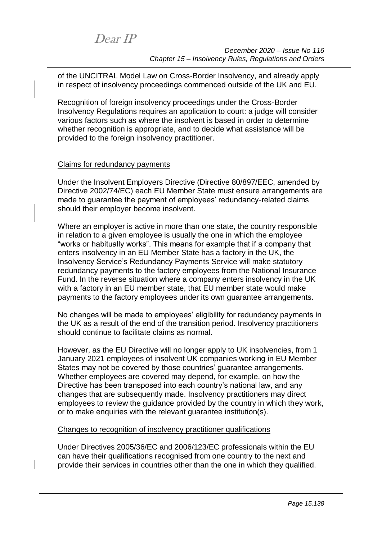of the UNCITRAL Model Law on Cross-Border Insolvency, and already apply in respect of insolvency proceedings commenced outside of the UK and EU.

Recognition of foreign insolvency proceedings under the Cross-Border Insolvency Regulations requires an application to court: a judge will consider various factors such as where the insolvent is based in order to determine whether recognition is appropriate, and to decide what assistance will be provided to the foreign insolvency practitioner.

### Claims for redundancy payments

Under the Insolvent Employers Directive (Directive 80/897/EEC, amended by Directive 2002/74/EC) each EU Member State must ensure arrangements are made to guarantee the payment of employees' redundancy-related claims should their employer become insolvent.

Where an employer is active in more than one state, the country responsible in relation to a given employee is usually the one in which the employee "works or habitually works". This means for example that if a company that enters insolvency in an EU Member State has a factory in the UK, the Insolvency Service's Redundancy Payments Service will make statutory redundancy payments to the factory employees from the National Insurance Fund. In the reverse situation where a company enters insolvency in the UK with a factory in an EU member state, that EU member state would make payments to the factory employees under its own guarantee arrangements.

No changes will be made to employees' eligibility for redundancy payments in the UK as a result of the end of the transition period. Insolvency practitioners should continue to facilitate claims as normal.

However, as the EU Directive will no longer apply to UK insolvencies, from 1 January 2021 employees of insolvent UK companies working in EU Member States may not be covered by those countries' guarantee arrangements. Whether employees are covered may depend, for example, on how the Directive has been transposed into each country's national law, and any changes that are subsequently made. Insolvency practitioners may direct employees to review the guidance provided by the country in which they work, or to make enquiries with the relevant guarantee institution(s).

### Changes to recognition of insolvency practitioner qualifications

Under Directives 2005/36/EC and 2006/123/EC professionals within the EU can have their qualifications recognised from one country to the next and provide their services in countries other than the one in which they qualified.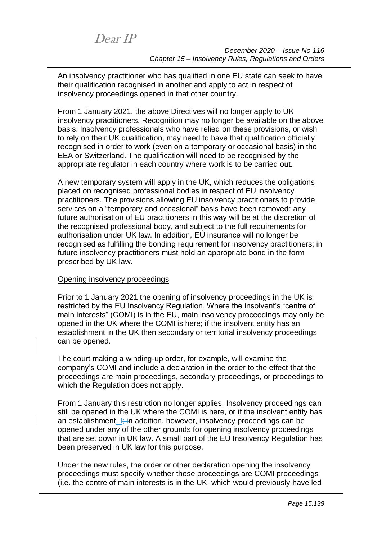Dear IP

An insolvency practitioner who has qualified in one EU state can seek to have their qualification recognised in another and apply to act in respect of insolvency proceedings opened in that other country.

From 1 January 2021, the above Directives will no longer apply to UK insolvency practitioners. Recognition may no longer be available on the above basis. Insolvency professionals who have relied on these provisions, or wish to rely on their UK qualification, may need to have that qualification officially recognised in order to work (even on a temporary or occasional basis) in the EEA or Switzerland. The qualification will need to be recognised by the appropriate regulator in each country where work is to be carried out.

A new temporary system will apply in the UK, which reduces the obligations placed on recognised professional bodies in respect of EU insolvency practitioners. The provisions allowing EU insolvency practitioners to provide services on a "temporary and occasional" basis have been removed: any future authorisation of EU practitioners in this way will be at the discretion of the recognised professional body, and subject to the full requirements for authorisation under UK law. In addition, EU insurance will no longer be recognised as fulfilling the bonding requirement for insolvency practitioners; in future insolvency practitioners must hold an appropriate bond in the form prescribed by UK law.

### Opening insolvency proceedings

Prior to 1 January 2021 the opening of insolvency proceedings in the UK is restricted by the EU Insolvency Regulation. Where the insolvent's "centre of main interests" (COMI) is in the EU, main insolvency proceedings may only be opened in the UK where the COMI is here; if the insolvent entity has an establishment in the UK then secondary or territorial insolvency proceedings can be opened.

The court making a winding-up order, for example, will examine the company's COMI and include a declaration in the order to the effect that the proceedings are main proceedings, secondary proceedings, or proceedings to which the Regulation does not apply.

From 1 January this restriction no longer applies. Insolvency proceedings can still be opened in the UK where the COMI is here, or if the insolvent entity has an establishment. I<sub>i</sub> in addition, however, insolvency proceedings can be opened under any of the other grounds for opening insolvency proceedings that are set down in UK law. A small part of the EU Insolvency Regulation has been preserved in UK law for this purpose.

Under the new rules, the order or other declaration opening the insolvency proceedings must specify whether those proceedings are COMI proceedings (i.e. the centre of main interests is in the UK, which would previously have led